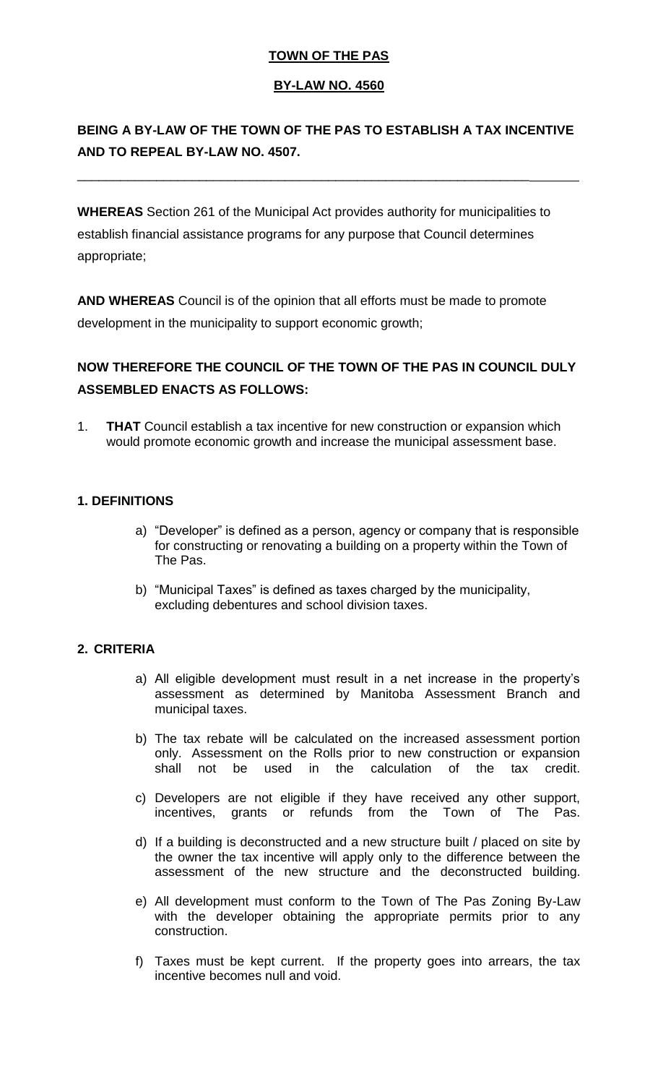### **TOWN OF THE PAS**

#### **BY-LAW NO. 4560**

## **BEING A BY-LAW OF THE TOWN OF THE PAS TO ESTABLISH A TAX INCENTIVE AND TO REPEAL BY-LAW NO. 4507.**

**WHEREAS** Section 261 of the Municipal Act provides authority for municipalities to establish financial assistance programs for any purpose that Council determines appropriate;

\_\_\_\_\_\_\_\_\_\_\_\_\_\_\_\_\_\_\_\_\_\_\_\_\_\_\_\_\_\_\_\_\_\_\_\_\_\_\_\_\_\_\_\_\_\_\_\_\_\_\_\_\_\_\_\_\_\_\_\_\_\_\_

**AND WHEREAS** Council is of the opinion that all efforts must be made to promote development in the municipality to support economic growth;

## **NOW THEREFORE THE COUNCIL OF THE TOWN OF THE PAS IN COUNCIL DULY ASSEMBLED ENACTS AS FOLLOWS:**

1. **THAT** Council establish a tax incentive for new construction or expansion which would promote economic growth and increase the municipal assessment base.

#### **1. DEFINITIONS**

- a) "Developer" is defined as a person, agency or company that is responsible for constructing or renovating a building on a property within the Town of The Pas.
- b) "Municipal Taxes" is defined as taxes charged by the municipality, excluding debentures and school division taxes.

#### **2. CRITERIA**

- a) All eligible development must result in a net increase in the property's assessment as determined by Manitoba Assessment Branch and municipal taxes.
- b) The tax rebate will be calculated on the increased assessment portion only. Assessment on the Rolls prior to new construction or expansion shall not be used in the calculation of the tax credit.
- c) Developers are not eligible if they have received any other support, incentives, grants or refunds from the Town of The Pas.
- d) If a building is deconstructed and a new structure built / placed on site by the owner the tax incentive will apply only to the difference between the assessment of the new structure and the deconstructed building.
- e) All development must conform to the Town of The Pas Zoning By-Law with the developer obtaining the appropriate permits prior to any construction.
- f) Taxes must be kept current. If the property goes into arrears, the tax incentive becomes null and void.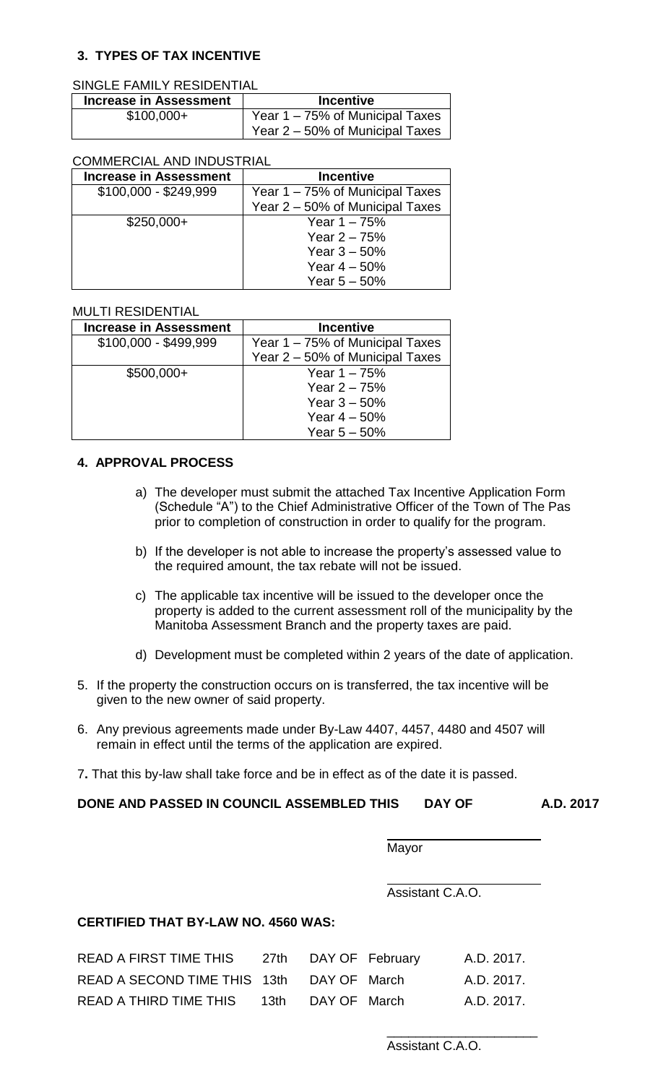### **3. TYPES OF TAX INCENTIVE**

#### SINGLE FAMILY RESIDENTIAL

| <b>Increase in Assessment</b> | <b>Incentive</b>                |
|-------------------------------|---------------------------------|
| $$100,000+$                   | Year 1 – 75% of Municipal Taxes |
|                               | Year 2 – 50% of Municipal Taxes |

#### COMMERCIAL AND INDUSTRIAL

| <b>Increase in Assessment</b> | <b>Incentive</b>                |
|-------------------------------|---------------------------------|
| $$100,000 - $249,999$         | Year 1 – 75% of Municipal Taxes |
|                               | Year 2 - 50% of Municipal Taxes |
| $$250,000+$                   | Year $1 - 75%$                  |
|                               | Year $2 - 75%$                  |
|                               | Year $3 - 50%$                  |
|                               | Year $4 - 50%$                  |
|                               | Year $5 - 50%$                  |

#### MULTI RESIDENTIAL

| <b>Increase in Assessment</b> | <b>Incentive</b>                |
|-------------------------------|---------------------------------|
| $$100,000 - $499,999$         | Year 1 – 75% of Municipal Taxes |
|                               | Year 2 - 50% of Municipal Taxes |
| $$500,000+$                   | Year $1 - 75%$                  |
|                               | Year $2 - 75%$                  |
|                               | Year $3 - 50%$                  |
|                               | Year $4 - 50%$                  |
|                               | Year $5 - 50%$                  |

#### **4. APPROVAL PROCESS**

- a) The developer must submit the attached Tax Incentive Application Form (Schedule "A") to the Chief Administrative Officer of the Town of The Pas prior to completion of construction in order to qualify for the program.
- b) If the developer is not able to increase the property's assessed value to the required amount, the tax rebate will not be issued.
- c) The applicable tax incentive will be issued to the developer once the property is added to the current assessment roll of the municipality by the Manitoba Assessment Branch and the property taxes are paid.
- d) Development must be completed within 2 years of the date of application.
- 5. If the property the construction occurs on is transferred, the tax incentive will be given to the new owner of said property.
- 6. Any previous agreements made under By-Law 4407, 4457, 4480 and 4507 will remain in effect until the terms of the application are expired.
- 7**.** That this by-law shall take force and be in effect as of the date it is passed.

#### **DONE AND PASSED IN COUNCIL ASSEMBLED THIS DAY OF A.D. 2017**

 $\overline{a}$ Mayor

 $\overline{a}$ Assistant C.A.O.

#### **CERTIFIED THAT BY-LAW NO. 4560 WAS:**

| <b>READ A FIRST TIME THIS</b>             |                   | 27th DAY OF February | A.D. 2017. |
|-------------------------------------------|-------------------|----------------------|------------|
| READ A SECOND TIME THIS 13th DAY OF March |                   |                      | A.D. 2017. |
| READ A THIRD TIME THIS                    | 13th DAY OF March |                      | A.D. 2017. |